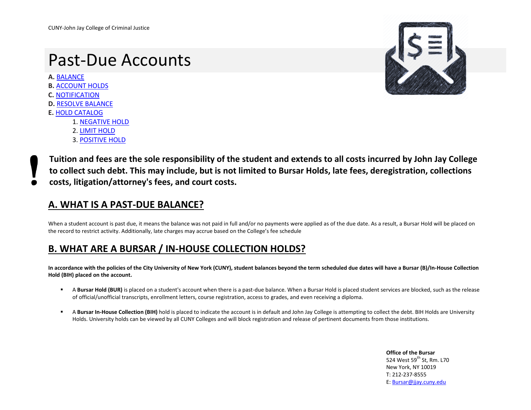# Past-Due Accounts

**A.** [BALANCE](#page-0-0) **B.** [ACCOUNT HOLDS](#page-0-1)

- **C.** [NOTIFICATION](#page-1-0)
- **D.** [RESOLVE BALANCE](#page-1-1)
- **E.** [HOLD CATALOG](#page-1-2)
	- 1. [NEGATIVE HOLD](#page-2-0)
	- 2. [LIMIT HOLD](#page-3-0)
	- 3. [POSITIVE HOLD](#page-3-1)



**Tuition and fees are the sole responsibility of the student and extends to all costs incurred by John Jay College to collect such debt. This may include, but is not limited to Bursar Holds, late fees, deregistration, collections costs, litigation/attorney's fees, and court costs.** 

### <span id="page-0-0"></span>**A. WHAT IS A PAST-DUE BALANCE?**

When a student account is past due, it means the balance was not paid in full and/or no payments were applied as of the due date. As a result, a Bursar Hold will be placed on the record to restrict activity. Additionally, late charges may accrue based on the College's fee schedule

### <span id="page-0-1"></span>**B. WHAT ARE A BURSAR / IN-HOUSE COLLECTION HOLDS?**

**In accordance with the policies of the City University of New York (CUNY), student balances beyond the term scheduled due dates will have a Bursar (B)/In-House Collection Hold (BIH) placed on the account.**

- **A Bursar Hold (BUR)** is placed on a student's account when there is a past-due balance. When a Bursar Hold is placed student services are blocked, such as the release of official/unofficial transcripts, enrollment letters, course registration, access to grades, and even receiving a diploma.
- **A Bursar In-House Collection (BIH)** hold is placed to indicate the account is in default and John Jay College is attempting to collect the debt. BIH Holds are University Holds. University holds can be viewed by all CUNY Colleges and will block registration and release of pertinent documents from those institutions.

**Office of the Bursar** 524 West 59<sup>th</sup> St, Rm. L70 New York, NY 10019 T: 212-237-8555 E: [Bursar@jjay.cuny.edu](mailto:Bursar@jjay.cuny.edu)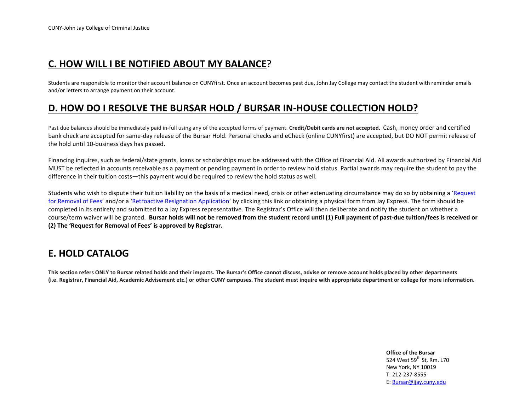### <span id="page-1-0"></span>**C. HOW WILL I BE NOTIFIED ABOUT MY BALANCE**?

Students are responsible to monitor their account balance on CUNYfirst. Once an account becomes past due, John Jay College may contact the student with reminder emails and/or letters to arrange payment on their account.

### <span id="page-1-1"></span>**D. HOW DO I RESOLVE THE BURSAR HOLD / BURSAR IN-HOUSE COLLECTION HOLD?**

Past due balances should be immediately paid in-full using any of the accepted forms of payment. **Credit/Debit cards are not accepted.** Cash, money order and certified bank check are accepted for same-day release of the Bursar Hold. Personal checks and eCheck (online CUNYfirst) are accepted, but DO NOT permit release of the hold until 10-business days has passed.

Financing inquires, such as federal/state grants, loans or scholarships must be addressed with the Office of Financial Aid. All awards authorized by Financial Aid MUST be reflected in accounts receivable as a payment or pending payment in order to review hold status. Partial awards may require the student to pay the difference in their tuition costs—this payment would be required to review the hold status as well.

Students who wish to dispute their tuition liability on the basis of a medical need, crisis or other extenuating circumstance may do so by obtaining a 'Request [for Removal of Fees](https://jstop.jjay.cuny.edu/forms/REQUEST_FOR_REMOVAL_OF_REGISTRATION_RELATED_FEES_AND_PENALTIES.pdf)' and/or a '[Retroactive Resignation Application](https://jstop.jjay.cuny.edu/forms/Retroactive_Resignation_Application.pdf)' by clicking this link or obtaining a physical form from Jay Express. The form should be completed in its entirety and submitted to a Jay Express representative. The Registrar's Office will then deliberate and notify the student on whether a course/term waiver will be granted. **Bursar holds will not be removed from the student record until (1) Full payment of past-due tuition/fees is received or (2) The 'Request for Removal of Fees' is approved by Registrar.** 

### <span id="page-1-2"></span>**E. HOLD CATALOG**

**This section refers ONLY to Bursar related holds and their impacts. The Bursar's Office cannot discuss, advise or remove account holds placed by other departments (i.e. Registrar, Financial Aid, Academic Advisement etc.) or other CUNY campuses. The student must inquire with appropriate department or college for more information.**

> **Office of the Bursar** 524 West 59<sup>th</sup> St, Rm. L70 New York, NY 10019 T: 212-237-8555 E: [Bursar@jjay.cuny.edu](mailto:Bursar@jjay.cuny.edu)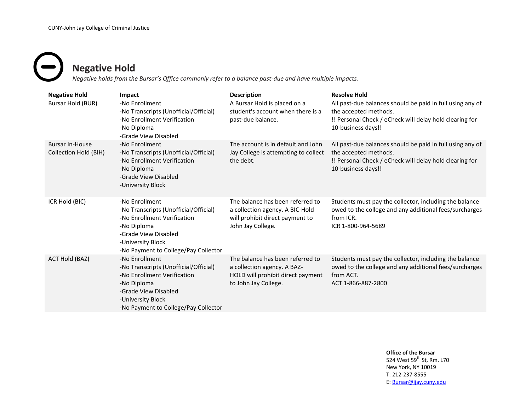# <span id="page-2-0"></span>**Negative Hold**

*Negative holds from the Bursar's Office commonly refer to a balance past-due and have multiple impacts.*

| <b>Negative Hold</b>                            | Impact                                                                                                                                                                                     | <b>Description</b>                                                                                                           | <b>Resolve Hold</b>                                                                                                                                                 |
|-------------------------------------------------|--------------------------------------------------------------------------------------------------------------------------------------------------------------------------------------------|------------------------------------------------------------------------------------------------------------------------------|---------------------------------------------------------------------------------------------------------------------------------------------------------------------|
| Bursar Hold (BUR)                               | -No Enrollment<br>-No Transcripts (Unofficial/Official)<br>-No Enrollment Verification<br>-No Diploma<br>-Grade View Disabled                                                              | A Bursar Hold is placed on a<br>student's account when there is a<br>past-due balance.                                       | All past-due balances should be paid in full using any of<br>the accepted methods.<br>!! Personal Check / eCheck will delay hold clearing for<br>10-business days!! |
| <b>Bursar In-House</b><br>Collection Hold (BIH) | -No Enrollment<br>-No Transcripts (Unofficial/Official)<br>-No Enrollment Verification<br>-No Diploma<br>-Grade View Disabled<br>-University Block                                         | The account is in default and John<br>Jay College is attempting to collect<br>the debt.                                      | All past-due balances should be paid in full using any of<br>the accepted methods.<br>!! Personal Check / eCheck will delay hold clearing for<br>10-business days!! |
| ICR Hold (BIC)                                  | -No Enrollment<br>-No Transcripts (Unofficial/Official)<br>-No Enrollment Verification<br>-No Diploma<br>-Grade View Disabled<br>-University Block<br>-No Payment to College/Pay Collector | The balance has been referred to<br>a collection agency. A BIC-Hold<br>will prohibit direct payment to<br>John Jay College.  | Students must pay the collector, including the balance<br>owed to the college and any additional fees/surcharges<br>from ICR.<br>ICR 1-800-964-5689                 |
| ACT Hold (BAZ)                                  | -No Enrollment<br>-No Transcripts (Unofficial/Official)<br>-No Enrollment Verification<br>-No Diploma<br>-Grade View Disabled<br>-University Block<br>-No Payment to College/Pay Collector | The balance has been referred to<br>a collection agency. A BAZ-<br>HOLD will prohibit direct payment<br>to John Jay College. | Students must pay the collector, including the balance<br>owed to the college and any additional fees/surcharges<br>from ACT.<br>ACT 1-866-887-2800                 |

### **Office of the Bursar**

524 West 59<sup>th</sup> St, Rm. L70 New York, NY 10019 T: 212-237-8555 E: [Bursar@jjay.cuny.edu](mailto:Bursar@jjay.cuny.edu)